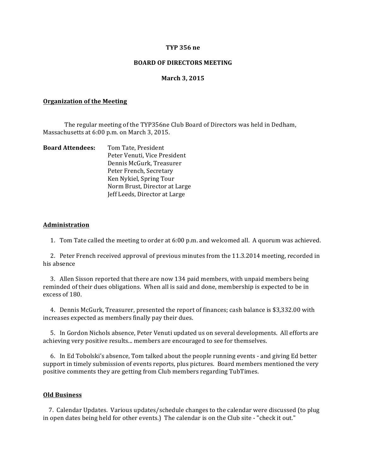### **TYP 356 ne**

### **BOARD OF DIRECTORS MEETING**

### **March 3, 2015**

#### **Organization of the Meeting**

The regular meeting of the TYP356ne Club Board of Directors was held in Dedham, Massachusetts at 6:00 p.m. on March 3, 2015.

| <b>Board Attendees:</b> | Tom Tate, President           |
|-------------------------|-------------------------------|
|                         | Peter Venuti, Vice President  |
|                         | Dennis McGurk, Treasurer      |
|                         | Peter French, Secretary       |
|                         | Ken Nykiel, Spring Tour       |
|                         | Norm Brust, Director at Large |
|                         | Jeff Leeds, Director at Large |

#### **Administration**

1. Tom Tate called the meeting to order at 6:00 p.m. and welcomed all. A quorum was achieved.

2. Peter French received approval of previous minutes from the 11.3.2014 meeting, recorded in his absence

3. Allen Sisson reported that there are now 134 paid members, with unpaid members being reminded of their dues obligations. When all is said and done, membership is expected to be in excess of 180.

4. Dennis McGurk, Treasurer, presented the report of finances; cash balance is \$3,332.00 with increases expected as members finally pay their dues.

5. In Gordon Nichols absence, Peter Venuti updated us on several developments. All efforts are achieving very positive results... members are encouraged to see for themselves.

6. In Ed Tobolski's absence, Tom talked about the people running events - and giving Ed better support in timely submission of events reports, plus pictures. Board members mentioned the very positive comments they are getting from Club members regarding TubTimes.

## **Old Business**

7. Calendar Updates. Various updates/schedule changes to the calendar were discussed (to plug in open dates being held for other events.) The calendar is on the Club site - "check it out."